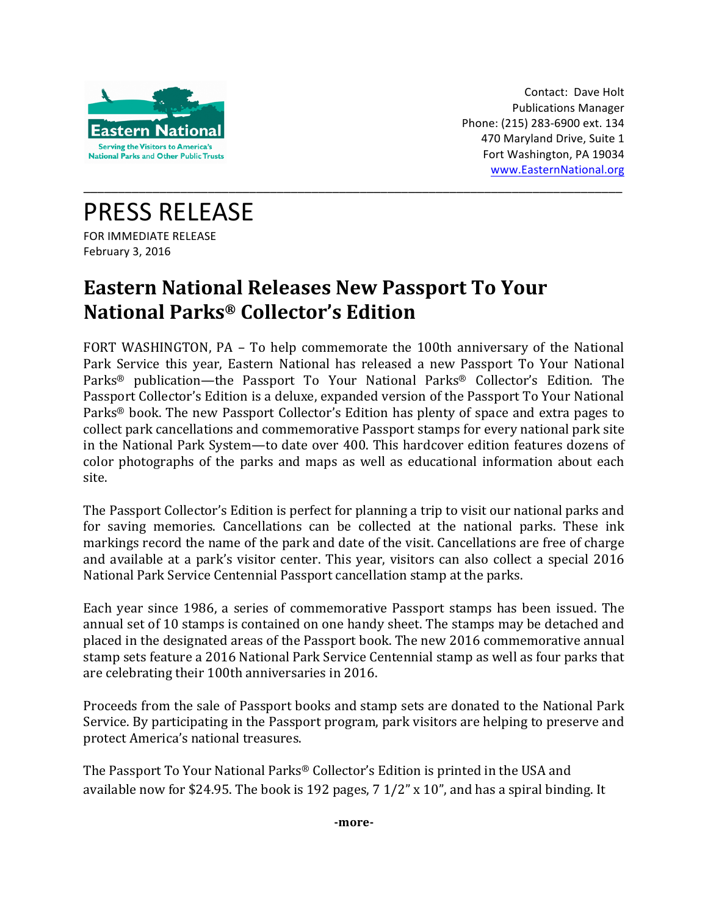

Contact: Dave Holt Publications Manager Phone: (215) 283-6900 ext. 134 470 Maryland Drive, Suite 1 Fort Washington, PA 19034 www.EasternNational.org

PRESS RELEASE FOR IMMEDIATE RELEASE February 3, 2016

## **Eastern National Releases New Passport To Your National Parks® Collector's Edition**

FORT WASHINGTON, PA – To help commemorate the 100th anniversary of the National Park Service this year, Eastern National has released a new Passport To Your National Parks<sup>®</sup> publication—the Passport To Your National Parks<sup>®</sup> Collector's Edition. The Passport Collector's Edition is a deluxe, expanded version of the Passport To Your National Parks<sup>®</sup> book. The new Passport Collector's Edition has plenty of space and extra pages to collect park cancellations and commemorative Passport stamps for every national park site in the National Park System—to date over 400. This hardcover edition features dozens of color photographs of the parks and maps as well as educational information about each site.

\_\_\_\_\_\_\_\_\_\_\_\_\_\_\_\_\_\_\_\_\_\_\_\_\_\_\_\_\_\_\_\_\_\_\_\_\_\_\_\_\_\_\_\_\_\_\_\_\_\_\_\_\_\_\_\_\_\_\_\_\_\_\_\_\_\_\_\_\_\_\_\_\_\_\_\_\_\_

The Passport Collector's Edition is perfect for planning a trip to visit our national parks and for saving memories. Cancellations can be collected at the national parks. These ink markings record the name of the park and date of the visit. Cancellations are free of charge and available at a park's visitor center. This year, visitors can also collect a special 2016 National Park Service Centennial Passport cancellation stamp at the parks.

Each year since 1986, a series of commemorative Passport stamps has been issued. The annual set of 10 stamps is contained on one handy sheet. The stamps may be detached and placed in the designated areas of the Passport book. The new 2016 commemorative annual stamp sets feature a 2016 National Park Service Centennial stamp as well as four parks that are celebrating their 100th anniversaries in 2016.

Proceeds from the sale of Passport books and stamp sets are donated to the National Park Service. By participating in the Passport program, park visitors are helping to preserve and protect America's national treasures.

The Passport To Your National Parks® Collector's Edition is printed in the USA and available now for \$24.95. The book is 192 pages,  $7 \frac{1}{2}$  x 10", and has a spiral binding. It

**-more-**